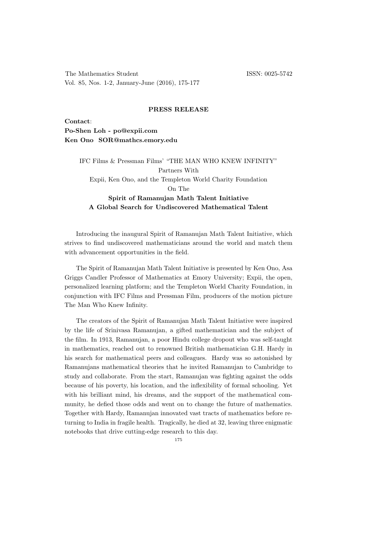The Mathematics Student ISSN: 0025-5742 Vol. 85, Nos. 1-2, January-June (2016), 175-177

## PRESS RELEASE

Contact: Po-Shen Loh - po@expii.com Ken Ono SOR@mathcs.emory.edu

> IFC Films & Pressman Films' "THE MAN WHO KNEW INFINITY" Partners With Expii, Ken Ono, and the Templeton World Charity Foundation On The Spirit of Ramanujan Math Talent Initiative

## A Global Search for Undiscovered Mathematical Talent

Introducing the inaugural Spirit of Ramanujan Math Talent Initiative, which strives to find undiscovered mathematicians around the world and match them with advancement opportunities in the field.

The Spirit of Ramanujan Math Talent Initiative is presented by Ken Ono, Asa Griggs Candler Professor of Mathematics at Emory University; Expii, the open, personalized learning platform; and the Templeton World Charity Foundation, in conjunction with IFC Films and Pressman Film, producers of the motion picture The Man Who Knew Infinity.

The creators of the Spirit of Ramanujan Math Talent Initiative were inspired by the life of Srinivasa Ramanujan, a gifted mathematician and the subject of the film. In 1913, Ramanujan, a poor Hindu college dropout who was self-taught in mathematics, reached out to renowned British mathematician G.H. Hardy in his search for mathematical peers and colleagues. Hardy was so astonished by Ramanujans mathematical theories that he invited Ramanujan to Cambridge to study and collaborate. From the start, Ramanujan was fighting against the odds because of his poverty, his location, and the inflexibility of formal schooling. Yet with his brilliant mind, his dreams, and the support of the mathematical community, he defied those odds and went on to change the future of mathematics. Together with Hardy, Ramanujan innovated vast tracts of mathematics before returning to India in fragile health. Tragically, he died at 32, leaving three enigmatic notebooks that drive cutting-edge research to this day.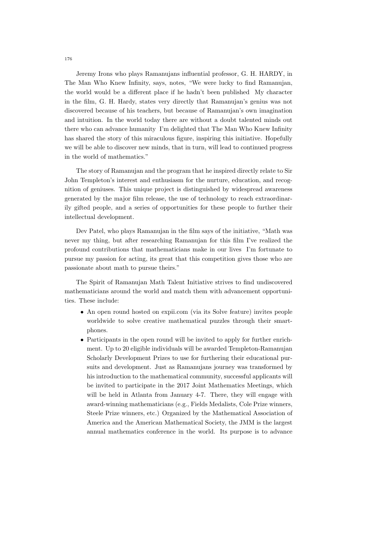Jeremy Irons who plays Ramanujans influential professor, G. H. HARDY, in The Man Who Knew Infinity, says, notes, "We were lucky to find Ramanujan, the world would be a different place if he hadn't been published My character in the film, G. H. Hardy, states very directly that Ramanujan's genius was not discovered because of his teachers, but because of Ramanujan's own imagination and intuition. In the world today there are without a doubt talented minds out there who can advance humanity I'm delighted that The Man Who Knew Infinity has shared the story of this miraculous figure, inspiring this initiative. Hopefully we will be able to discover new minds, that in turn, will lead to continued progress in the world of mathematics."

The story of Ramanujan and the program that he inspired directly relate to Sir John Templeton's interest and enthusiasm for the nurture, education, and recognition of geniuses. This unique project is distinguished by widespread awareness generated by the major film release, the use of technology to reach extraordinarily gifted people, and a series of opportunities for these people to further their intellectual development.

Dev Patel, who plays Ramanujan in the film says of the initiative, "Math was never my thing, but after researching Ramanujan for this film I've realized the profound contributions that mathematicians make in our lives I'm fortunate to pursue my passion for acting, its great that this competition gives those who are passionate about math to pursue theirs."

The Spirit of Ramanujan Math Talent Initiative strives to find undiscovered mathematicians around the world and match them with advancement opportunities. These include:

- An open round hosted on expii.com (via its Solve feature) invites people worldwide to solve creative mathematical puzzles through their smartphones.
- Participants in the open round will be invited to apply for further enrichment. Up to 20 eligible individuals will be awarded Templeton-Ramanujan Scholarly Development Prizes to use for furthering their educational pursuits and development. Just as Ramanujans journey was transformed by his introduction to the mathematical community, successful applicants will be invited to participate in the 2017 Joint Mathematics Meetings, which will be held in Atlanta from January 4-7. There, they will engage with award-winning mathematicians (e.g., Fields Medalists, Cole Prize winners, Steele Prize winners, etc.) Organized by the Mathematical Association of America and the American Mathematical Society, the JMM is the largest annual mathematics conference in the world. Its purpose is to advance